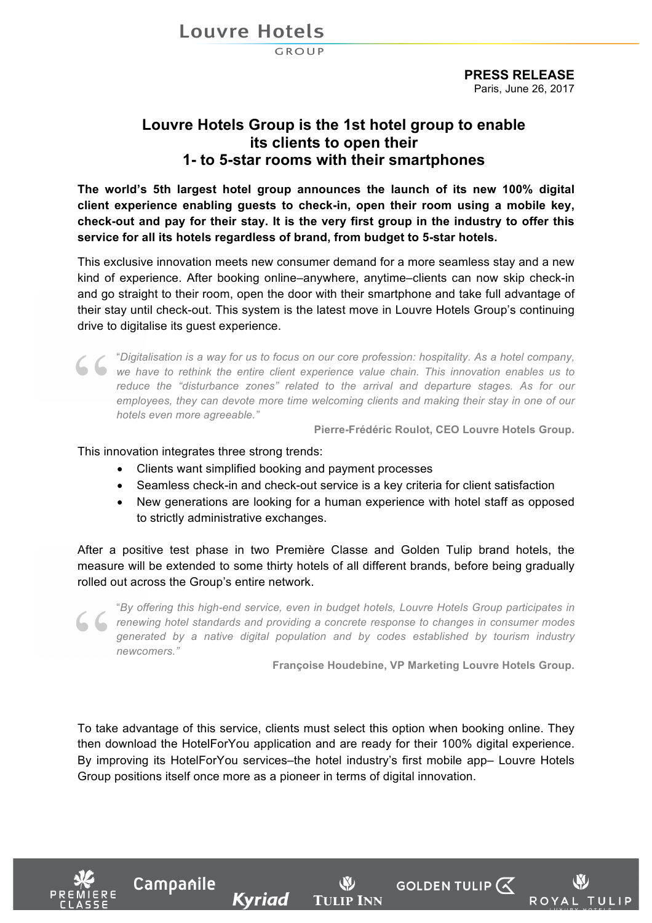**Louvre Hotels** 

GROUP

**PRESS RELEASE** Paris, June 26, 2017

## **Louvre Hotels Group is the 1st hotel group to enable its clients to open their 1- to 5-star rooms with their smartphones**

**The world's 5th largest hotel group announces the launch of its new 100% digital client experience enabling guests to check-in, open their room using a mobile key, check-out and pay for their stay. It is the very first group in the industry to offer this service for all its hotels regardless of brand, from budget to 5-star hotels.**

This exclusive innovation meets new consumer demand for a more seamless stay and a new kind of experience. After booking online–anywhere, anytime–clients can now skip check-in and go straight to their room, open the door with their smartphone and take full advantage of their stay until check-out. This system is the latest move in Louvre Hotels Group's continuing drive to digitalise its guest experience.

"*Digitalisation is a way for us to focus on our core profession: hospitality. As a hotel company,*  we have to rethink the entire client experience value chain. This innovation enables us to **we have to rethink** the entire client experience value chain. This innovation enables us to *reduce the "disturbance zones" related to the arrival and departure stages. As for our employees, they can devote more time welcoming clients and making their stay in one of our hotels even more agreeable."*

**Pierre-Frédéric Roulot, CEO Louvre Hotels Group.**

This innovation integrates three strong trends:

Campanile

Kyriad

- Clients want simplified booking and payment processes
- Seamless check-in and check-out service is a key criteria for client satisfaction
- New generations are looking for a human experience with hotel staff as opposed to strictly administrative exchanges.

After a positive test phase in two Première Classe and Golden Tulip brand hotels, the measure will be extended to some thirty hotels of all different brands, before being gradually rolled out across the Group's entire network.

"*By offering this high-end service, even in budget hotels, Louvre Hotels Group participates in renewing hotel standards and providing a concrete response to changes in consumer modes generated by a native digital population and by codes established by tourism industry newcomers."*

**Françoise Houdebine, VP Marketing Louvre Hotels Group.**

**GOLDEN TULIP**  $\mathcal{R}$ 

ROYAL

TULIP

To take advantage of this service, clients must select this option when booking online. They then download the HotelForYou application and are ready for their 100% digital experience. By improving its HotelForYou services–the hotel industry's first mobile app– Louvre Hotels Group positions itself once more as a pioneer in terms of digital innovation.

**TULIP INN**